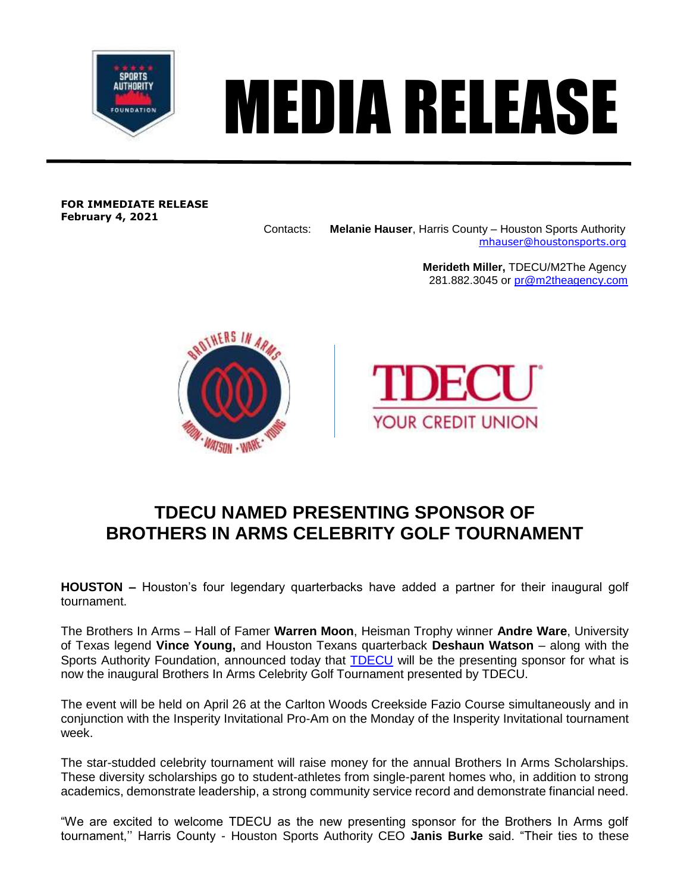

## MEDIA RELEASE

**FOR IMMEDIATE RELEASE February 4, 2021**

Contacts: **Melanie Hauser**, Harris County – Houston Sports Authority [mhauser@houstonsports.org](mailto:mhauser@houstonsports.org)

> **Merideth Miller,** TDECU/M2The Agency 281.882.3045 or [pr@m2theagency.com](mailto:pr@m2theagency.com)





## **TDECU NAMED PRESENTING SPONSOR OF BROTHERS IN ARMS CELEBRITY GOLF TOURNAMENT**

**HOUSTON –** Houston's four legendary quarterbacks have added a partner for their inaugural golf tournament.

The Brothers In Arms – Hall of Famer **Warren Moon**, Heisman Trophy winner **Andre Ware**, University of Texas legend **Vince Young,** and Houston Texans quarterback **Deshaun Watson** – along with the Sports Authority Foundation, announced today that [TDECU](http://tdecu.org/) will be the presenting sponsor for what is now the inaugural Brothers In Arms Celebrity Golf Tournament presented by TDECU.

The event will be held on April 26 at the Carlton Woods Creekside Fazio Course simultaneously and in conjunction with the Insperity Invitational Pro-Am on the Monday of the Insperity Invitational tournament week.

The star-studded celebrity tournament will raise money for the annual Brothers In Arms Scholarships. These diversity scholarships go to student-athletes from single-parent homes who, in addition to strong academics, demonstrate leadership, a strong community service record and demonstrate financial need.

"We are excited to welcome TDECU as the new presenting sponsor for the Brothers In Arms golf tournament,'' Harris County - Houston Sports Authority CEO **Janis Burke** said. "Their ties to these